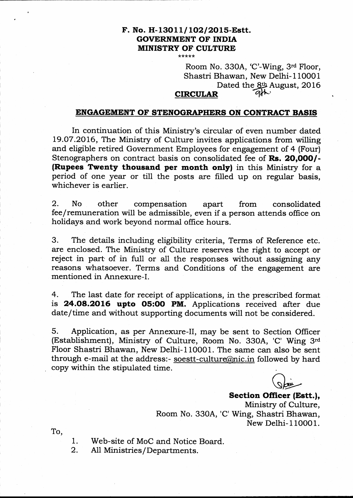### F. No. H-13011/102/2015-Estt. GOVERNMENT OF INDIA MINISTRY OF CULTURE \*\*\*\*\*

Room No. 330A, 'C'-Wing, 3rd Floor, Shastri Bhawan, New Delhi-l10001 Dated the  $8th$  August, 2016

# **CIRCULAR**

# ENGAGEMENT OF STENOGRAPHERS ON CONTRACT BASIS

In continuation of this Ministry's circular of even number dated L9.O7.2016, The Ministry of Culture invites applications from willing and eligible retired Government Employees for engagement of 4 (Four) Stenographers on contract basis on consolidated fee of Rs. 20,000/-(Rupees Twenty thousand per month only) in this Ministry for a period of one year or till the posts are filled up on regular basis, whichever is earlier.

2. No other compensation apart from consolidated fee/remuneration will be admissible, even if a person attends oflice on holidays and work beyond normal office hours.

3. The details including eligibility criteria, Terms of Reference etc. are enclosed. The Ministry of Culture reserves the right to accept or reject in part of in full or all the responses without assigning any reasons whatsoever. Terms and Conditions of the engagement are mentioned in Annexure-I.

4. The last date for receipt of applications, in the prescribed format is **24.08.2016 upto 05:00 PM.** Applications received after due date/time and without supporting documents will not be considered.

5. Application, as per Annexure-II, may be sent to Section Officer (Establishment), Ministry of Culture, Room No. 33OA, 'C' Wing 3'a Floor Shastri Bhawan, New Delhi-l10001. The same can also be sent through e-mail at the address:- soestt-culture $@$ nic.in followed by hard copy within the stipulated time.

 $\sqrt{\varepsilon}$  $\bigcirc$ 

Section Officer (Estt.), Ministry of Culture, Room No. 330A, 'C' Wing, Shastri Bhawan, New Delhi- 1 1000 1.

To,

Web-site of MoC and Notice Board. 1.

A11 Ministries / Departments. 2.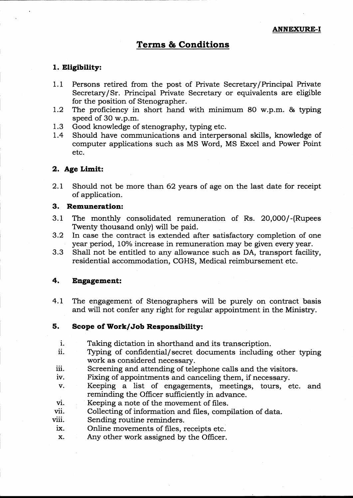# Terms & Conditions

### 1. Eligibility:

- 1.1 Persons retired. from the post of Private Secretary/Principal Private Secretary/Sr. Principal Private Secretary or equivalents are eligible for the position of Stenographer.
- 1.2 The proficiency in short hand with minimum 80 w.p.m.  $\&$  typing speed of 3O w.p.m.
- 1.3 Good knowledge of stenography, typing etc.<br>1.4 Should have communications and interper
- Should have communications and interpersonal skills, knowledge of computer applications such as MS Word, MS Excel and Power Point etc.

### 2. Age Limit:

2.L Should not be more than 62 years of age on the last date for receipt of application.

## 3. Remuneration:

- 3.1 The monthly consolidated remuneration of Rs. 20,000/-(Rupees Twenty thousand only) will be paid.
- 3.2 In case the contract is extended after satisfactory completion of one year period, 10% increase in remuneration may be given every year.
- 3.3 Shall not be entitled to any allowance such as DA, transport facility, residential accommodation, CGHS, Medical reimbursement etc.

### 4. Engagement:

4.1 The engagement of Stenographers will be purely on contract basis and will not confer any right for regular appointment in the Ministry.

### 5. Scope of Work/Job Responsibility:

- 
- i. Taking dictation in shorthand and its transcription.<br>ii. Typing of confidential/secret documents including other typing work as considered necessary.<br>iii. Screening and attending of telephone calls and the visitors.<br>iv. Fixing of appointments and canceling them, if necessary.
- 
- 
- v. Keeping a list of engagements, meetings, tours, etc. and
- 
- vi. Keeping a note of the movement of files.<br>
vii. Collecting of information and files, compilation of data.<br>
viii. Sending routine reminders.<br>
ix. Online movements of files, receipts etc.
- 
- 
- x. Any other work assigned by the Officer.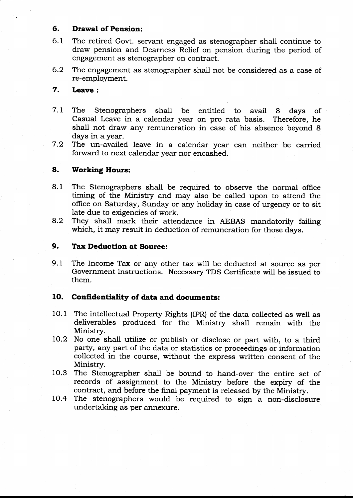# 6. Drawal of Pension:

- 6.1 The retired Govt. servant engaged as stenographer shall continue to draw pension and Dearness Relief on pension during the period of engagement as stenographer on contract.
- 6.2 The engagement as stenographer shall not be considered as a case of re-employment.

#### Leave : 7.

- 7.1 The Stenographers shall be entitled to avail 8 days of Casual Leave in a calendar year on pro rata basis. shall not draw any remuneration in case of his absence beyond 8 days in a year.
- 7.2 The un-availed leave in a calendar year can neither be carried forward to next calendar year nor encashed.

#### Workiag Hours: 8.

- The Stenographers shall be required to observe the normal office timing of the Ministry and may also be called upon to attend the office on Saturday, Sunday or any holiday in case of urgency or to sit late due to exigencies of work. 8. <sup>1</sup>
- They shall mark their attendance in AEBAS mandatorily failing which, it may result in deduction of remuneration for those days. 9.2

#### Tax Deduction at Source: 9.

9.1 The Income Tax or any other tax will be deducted at source as per Government instructions. Necessary TDS Certificate will be issued to them.

# 10. Confidentiality of data and documents:

- 1O.1 The intellectual Property Rights (IPR) of the data collected as well as deliverables produced for the Ministry shall remain with the Ministry.
- 10.2 No one shall utilize or publish or disclose or part with, to a third party, any part of the data or statistics or proceedings or information collected in the course, without the express written consent of the Ministry.
- 10.3 The Stenographer shall be bound to hand-over the entire set of records of assignment to the Ministry before the expiry of the contract, and before the final payment is released by the Ministry.
- 10.4 The stenographers would be required to sign a non-disclosure undertaking as per annexure.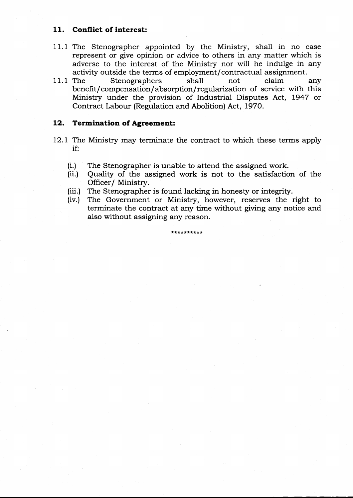# 11. Conflict of interest:

- 11.1 The Stenographer appointed by the Ministry, shall in no case represent or give opinion or advice to others in any matter which is adverse to the interest of the Ministry nor will he indulge in any activity outside the terms of employment/contractual assignment.
- <sup>1</sup>1.1 The Stenographers shall not claim any benefit/compensation/absorption/ regularization of service with this Ministry under the provision of Industrial Disputes Act, L947 or Contract Labour (Regulation and Abolition) Act, 1970.

# 12. Termination of Agreement:

- 12.L The Ministry may terminate the contract to which these terms apply if:
	-
	- (i.) The Stenographer is unable to attend the assigned work. (ii.) Quality of the assigned work is not to the satisfaction of the Officer/ Ministry.
	- (iii.) The Stenographer is found lacking in honesty or integrity.
	- (iv.) The Government or Ministry, however, reserves the right to terminate the contract at any time without giving any notice and also without assigning any reason.

\*r(?lr\*\*\*\*\*\*\*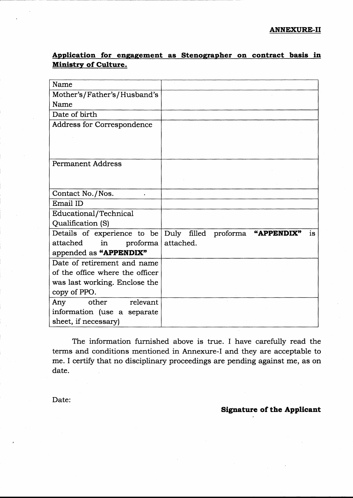Application for engagement as Stenographer on contract basis in Ministry of Culture.

| Name                            |                                       |
|---------------------------------|---------------------------------------|
| Mother's/Father's/Husband's     |                                       |
| Name                            |                                       |
| Date of birth                   |                                       |
| Address for Correspondence      |                                       |
|                                 |                                       |
|                                 |                                       |
|                                 |                                       |
| <b>Permanent Address</b>        |                                       |
|                                 |                                       |
|                                 |                                       |
| Contact No./Nos.                |                                       |
| Email ID                        |                                       |
| Educational/Technical           |                                       |
| Qualification (S)               |                                       |
| Details of experience to be     | Duly filled proforma "APPENDIX"<br>is |
| attached<br>in<br>proforma      | attached.                             |
| appended as "APPENDIX"          |                                       |
| Date of retirement and name     |                                       |
| of the office where the officer |                                       |
| was last working. Enclose the   |                                       |
| copy of PPO.                    |                                       |
| other<br>relevant<br>Any        |                                       |
| information (use a separate     |                                       |
| sheet, if necessary)            |                                       |

The information furnished above is true. I have carefully read the terms and conditions mentioned in Annexure-I and they are acceptable to me. I certify that no disciplinary proceedings are pending against me, as on date.

Date:

# Signature of the Applicant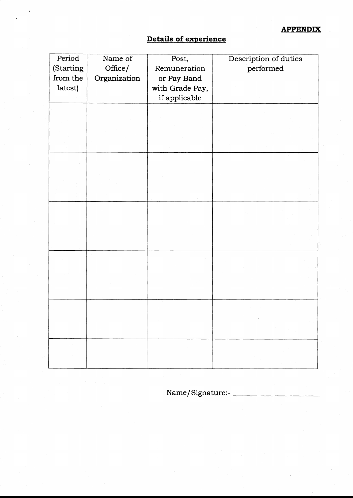# Details of experience

| Period    | Name of      | Post,           | Description of duties                                                       |
|-----------|--------------|-----------------|-----------------------------------------------------------------------------|
| (Starting | Office/      | Remuneration    | performed                                                                   |
| from the  | Organization | or Pay Band     |                                                                             |
| latest)   |              | with Grade Pay, |                                                                             |
|           |              | if applicable   |                                                                             |
|           |              |                 |                                                                             |
|           |              |                 |                                                                             |
|           |              |                 |                                                                             |
|           |              |                 |                                                                             |
|           |              |                 |                                                                             |
|           |              |                 |                                                                             |
|           |              |                 |                                                                             |
|           |              |                 |                                                                             |
|           |              |                 |                                                                             |
|           |              |                 |                                                                             |
|           |              |                 |                                                                             |
|           |              |                 |                                                                             |
|           |              |                 |                                                                             |
|           |              |                 |                                                                             |
|           |              |                 |                                                                             |
|           |              |                 |                                                                             |
|           |              |                 |                                                                             |
|           |              |                 |                                                                             |
|           |              |                 |                                                                             |
|           |              |                 |                                                                             |
|           |              |                 | $\mathcal{O}(\mathcal{O}_\mathcal{O})$<br>$\mathcal{F} \subset \mathcal{F}$ |
|           |              |                 |                                                                             |
| $\sim$    |              |                 | $\sim$                                                                      |
|           |              |                 |                                                                             |
|           |              |                 |                                                                             |

Name/ Signature:-